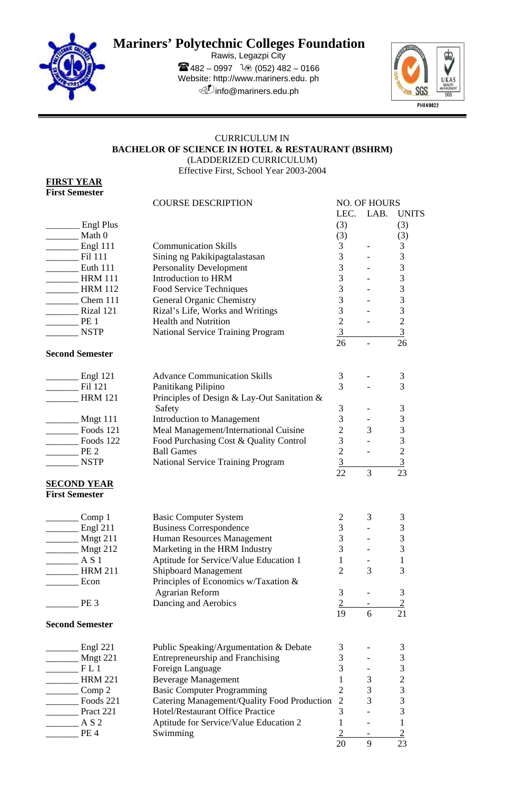

# **Mariners' Polytechnic Colleges Foundation**

Rawis, Legazpi City  $482 - 0997$   $20(052)482 - 0166$ Website: http://www.mariners.edu. ph info@mariners.edu.ph



## CURRICULUM IN **BACHELOR OF SCIENCE IN HOTEL & RESTAURANT (BSHRM)**  (LADDERIZED CURRICULUM) Effective First, School Year 2003-2004

**FIRST YEAR First Semester** 

|                        | <b>COURSE DESCRIPTION</b>                                       |                | <b>NO. OF HOURS</b> |                |  |
|------------------------|-----------------------------------------------------------------|----------------|---------------------|----------------|--|
|                        |                                                                 | LEC.           | LAB.                | <b>UNITS</b>   |  |
| Engl Plus              |                                                                 | (3)            |                     | (3)            |  |
| Math 0                 |                                                                 | (3)            |                     | (3)            |  |
| Engl 111               | <b>Communication Skills</b>                                     | 3              |                     | 3              |  |
| Fil 111                | Sining ng Pakikipagtalastasan                                   | 3              |                     | 3              |  |
| <b>Euth 111</b>        | <b>Personality Development</b>                                  | 3              |                     | 3              |  |
| <b>HRM 111</b>         | Introduction to HRM                                             | $\overline{3}$ |                     | 3              |  |
| <b>HRM 112</b>         | Food Service Techniques                                         | 3              |                     | 3              |  |
| Chem 111               | General Organic Chemistry                                       | 3              |                     | 3              |  |
| Rizal 121              |                                                                 | 3              |                     | 3              |  |
|                        | Rizal's Life, Works and Writings<br><b>Health and Nutrition</b> | $\overline{2}$ |                     |                |  |
| PE <sub>1</sub>        |                                                                 | $\overline{3}$ |                     | $\sqrt{2}$     |  |
| <b>NSTP</b>            | National Service Training Program                               |                |                     | 3              |  |
| <b>Second Semester</b> |                                                                 | 26             |                     | 26             |  |
|                        |                                                                 |                |                     |                |  |
| Engl 121               | <b>Advance Communication Skills</b>                             | 3              |                     | 3              |  |
| Fil 121                | Panitikang Pilipino                                             | 3              |                     | 3              |  |
| <b>HRM 121</b>         | Principles of Design & Lay-Out Sanitation &                     |                |                     |                |  |
|                        | Safety                                                          | 3              |                     | $\mathfrak{Z}$ |  |
| Mngt 111               | <b>Introduction to Management</b>                               | 3              |                     | $\mathfrak{Z}$ |  |
| Foods 121              | Meal Management/International Cuisine                           | $\overline{2}$ | 3                   | 3              |  |
| Foods 122              | Food Purchasing Cost & Quality Control                          | 3              |                     | 3              |  |
| PE <sub>2</sub>        | <b>Ball Games</b>                                               | $\overline{2}$ |                     | $\overline{c}$ |  |
| <b>NSTP</b>            |                                                                 | 3              |                     | $\overline{3}$ |  |
|                        | National Service Training Program                               | 22             | 3                   | 23             |  |
| <u>SECOND YEAR</u>     |                                                                 |                |                     |                |  |
| <b>First Semester</b>  |                                                                 |                |                     |                |  |
|                        |                                                                 |                |                     |                |  |
| Comp 1                 | <b>Basic Computer System</b>                                    | 2              | 3                   | 3              |  |
| Engl 211               | <b>Business Correspondence</b>                                  | 3              |                     | 3              |  |
| Mngt 211               | Human Resources Management                                      | 3              |                     | 3              |  |
| Mngt 212               | Marketing in the HRM Industry                                   | 3              |                     | 3              |  |
| A S 1                  | Aptitude for Service/Value Education 1                          | 1              |                     | $\mathbf{1}$   |  |
| <b>HRM 211</b>         | <b>Shipboard Management</b>                                     | $\overline{2}$ | 3                   | 3              |  |
| Econ                   | Principles of Economics w/Taxation &                            |                |                     |                |  |
|                        | <b>Agrarian Reform</b>                                          | 3              |                     | 3              |  |
| PE <sub>3</sub>        | Dancing and Aerobics                                            | $\overline{2}$ |                     | $\overline{2}$ |  |
|                        |                                                                 | 19             | 6                   | 21             |  |
| <b>Second Semester</b> |                                                                 |                |                     |                |  |
|                        |                                                                 |                |                     |                |  |
| Engl 221               | Public Speaking/Argumentation & Debate                          | 3              |                     | $\mathfrak{Z}$ |  |
| Mngt 221               | Entrepreneurship and Franchising                                | 3              |                     | 3              |  |
| FL1                    | Foreign Language                                                | 3              |                     | 3              |  |
| <b>HRM 221</b>         | <b>Beverage Management</b>                                      | 1              | 3                   | $\overline{c}$ |  |
| Comp 2                 | <b>Basic Computer Programming</b>                               | $\overline{2}$ | 3                   |                |  |
| Foods 221              | Catering Management/Quality Food Production                     | $\overline{2}$ | 3                   | $\frac{3}{3}$  |  |
| Pract 221              | Hotel/Restaurant Office Practice                                | 3              |                     | 3              |  |
| A S 2                  | Aptitude for Service/Value Education 2                          | 1              |                     | $\mathbf{1}$   |  |
| PE <sub>4</sub>        | Swimming                                                        | $\overline{2}$ |                     | $\overline{2}$ |  |
|                        |                                                                 | 20             | 9                   | 23             |  |
|                        |                                                                 |                |                     |                |  |